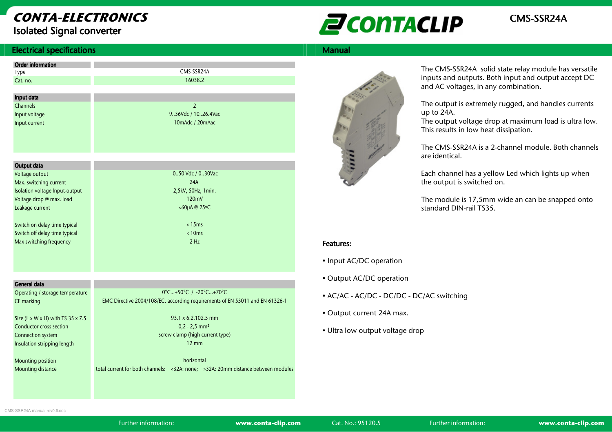# CONTA-ELECTRONICS

Isolated Signal converter



#### **Electrical specifications** s and the state of the state of the state of the state of the Manual Manual Manual Manual Manual Manual Manual

| <b>Order information</b>       |                     |
|--------------------------------|---------------------|
| Type                           | CMS-SSR24A          |
| Cat. no.                       | 16038.2             |
|                                |                     |
| Input data                     |                     |
| <b>Channels</b>                | $\overline{2}$      |
| Input voltage                  | 9.36Vdc / 1026.4Vac |
| Input current                  | 10mAdc / 20mAac     |
|                                |                     |
|                                |                     |
|                                |                     |
|                                |                     |
| Output data                    |                     |
| Voltage output                 | 050 Vdc / 030Vac    |
| Max. switching current         | 24A                 |
| Isolation voltage Input-output | 2,5kV, 50Hz, 1min.  |
| Voltage drop @ max. load       | 120mV               |
| Leakage current                | <60µA @ 25°C        |
|                                |                     |
| Switch on delay time typical   | < 15ms              |
| Switch off delay time typical  | < 10ms              |
| Max switching frequency        | 2 H <sub>z</sub>    |
|                                |                     |

| General data                             |                                                                                  |
|------------------------------------------|----------------------------------------------------------------------------------|
| Operating / storage temperature          | 0°C+50°C / -20°C+70°C                                                            |
| CE marking                               | EMC Directive 2004/108/EC, according requirements of EN 55011 and EN 61326-1     |
|                                          |                                                                                  |
| Size (L x W x H) with TS $35 \times 7.5$ | $93.1 \times 6.2.102.5$ mm                                                       |
| Conductor cross section                  | $0,2 - 2,5$ mm <sup>2</sup>                                                      |
| Connection system                        | screw clamp (high current type)                                                  |
| Insulation stripping length              | $12 \text{ mm}$                                                                  |
|                                          |                                                                                  |
| Mounting position                        | horizontal                                                                       |
| Mounting distance                        | total current for both channels: <32A: none; >32A: 20mm distance between modules |
|                                          |                                                                                  |



The CMS-SSR24A solid state relay module has versatile inputs and outputs. Both input and output accept DCand AC voltages, in any combination.

The output is extremely rugged, and handles currents up to 24A.

 The output voltage drop at maximum load is ultra low. This results in low heat dissipation.

The CMS-SSR24A is a 2-channel module. Both channelsare identical.

Each channel has a yellow Led which lights up when the output is switched on.

The module is 17,5mm wide an can be snapped onto standard DIN-rail TS35.

#### Features: Features:

- Input AC/DC operation
- Output AC/DC operation
- AC/AC AC/DC DC/DC DC/AC switching
- Output current 24A max.
- Ultra low output voltage drop

CMS-SSR24A manual rev0.fl.doc